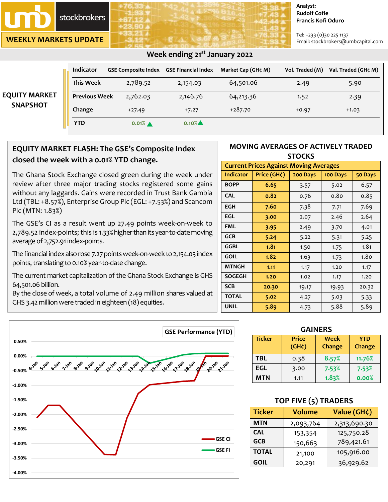stockbrokers

**WEEKLY MARKETS UPDATE**

**-4.00%**

#### **Analyst: Rudolf Cofie Francis Kofi Oduro**

Tel: +233 (0)30 225 1137 Email: stockbrokers@umbcapital.com

|                      | Week ending 21 <sup>st</sup> January 2022 |                            |                            |                    |                 |                     |
|----------------------|-------------------------------------------|----------------------------|----------------------------|--------------------|-----------------|---------------------|
|                      | <b>Indicator</b>                          | <b>GSE Composite Index</b> | <b>GSE Financial Index</b> | Market Cap (GH¢ M) | Vol. Traded (M) | Val. Traded (GH¢ M) |
|                      | <b>This Week</b>                          | 2,789.52                   | 2,154.03                   | 64,501.06          | 2.49            | 5.90                |
| <b>EQUITY MARKET</b> | <b>Previous Week</b>                      | 2,762.03                   | 2,146.76                   | 64,213.36          | 1.52            | 2.39                |
| <b>SNAPSHOT</b>      | Change                                    | $+27.49$                   | $+7.27$                    | $+287.70$          | $+0.97$         | $+1.03$             |
|                      | <b>YTD</b>                                | $0.01\%$ $\triangle$       | $0.10\%$                   |                    |                 |                     |

# **EQUITY MARKET FLASH: The GSE's Composite Index closed the week with a 0.01% YTD change.**

The Ghana Stock Exchange closed green during the week under review after three major trading stocks registered some gains without any laggards. Gains were recorded in Trust Bank Gambia Ltd (TBL: +8.57%), Enterprise Group Plc (EGL: +7.53%) and Scancom Plc (MTN: 1.83%)

The GSE's CI as a result went up 27.49 points week-on-week to 2,789.52 index-points; this is 1.33% higher than its year-to-date moving average of 2,752.91 index-points.

The financial index also rose 7.27 points week-on-week to 2,154.03 index points, translating to 0.10% year-to-date change.

The current market capitalization of the Ghana Stock Exchange is GHS 64,501.06 billion.

By the close of week, a total volume of 2.49 million shares valued at GHS 3.42 million were traded in eighteen (18) equities.



| <b>Current Prices Against Moving Averages</b> |                                                |       |              |       |  |
|-----------------------------------------------|------------------------------------------------|-------|--------------|-------|--|
| <b>Indicator</b>                              | Price (GH¢)<br>200 Days<br>100 Days<br>50 Days |       |              |       |  |
| <b>BOPP</b>                                   | 6.65                                           | 3.57  | 5.02         | 6.57  |  |
| <b>CAL</b>                                    | 0.82                                           | 0.76  | 0.80         | 0.85  |  |
| <b>EGH</b>                                    | 7.60                                           | 7.38  | 7.71         | 7.69  |  |
| EGL                                           | 3.00                                           | 2.07  | 2.46         | 2.64  |  |
| <b>FML</b>                                    | 3.95                                           | 2.49  | 3.70         | 4.01  |  |
| <b>GCB</b>                                    | 5.24                                           | 5.22  | 5.31         | 5.25  |  |
| GGBL                                          | 1.81                                           | 1.50  | 1.75         | 1.81  |  |
| <b>GOIL</b>                                   | 1.82                                           | 1.63  | 1.80<br>1.73 |       |  |
| <b>MTNGH</b>                                  | 1.11                                           | 1.17  | 1.20         | 1.17  |  |
| <b>SOGEGH</b>                                 | 1.20                                           | 1.02  | 1.17         | 1.20  |  |
| <b>SCB</b>                                    | 20.30                                          | 19.17 | 19.93        | 20.32 |  |
| <b>TOTAL</b>                                  | 5.02                                           | 4.27  | 5.03         | 5.33  |  |
| <b>UNIL</b>                                   | 5.89                                           | 4.73  | 5.88         | 5.89  |  |



| <b>Ticker</b> | <b>Price</b><br>(GH <sub>c</sub> ) | <b>Week</b><br>Change | <b>YTD</b><br>Change |  |  |
|---------------|------------------------------------|-----------------------|----------------------|--|--|
| <b>TBL</b>    | 0.38                               | 8.57%                 | 11.76%               |  |  |
| EGL           | 3.00                               | 7.53%                 | 7.53%                |  |  |
| MTN           | 1.11                               | 1.83%                 | 0.00%                |  |  |

## **TOP FIVE (5) TRADERS**

| <b>Ticker</b> | <b>Volume</b> | Value (GH¢)  |  |
|---------------|---------------|--------------|--|
| <b>MTN</b>    | 2,093,764     | 2,313,690.30 |  |
| <b>CAL</b>    | 153,354       | 125,750.28   |  |
| <b>GCB</b>    | 150,663       | 789,421.61   |  |
| <b>TOTAL</b>  | 21,100        | 105,916.00   |  |
| <b>GOIL</b>   | 20,291        | 36,929.62    |  |